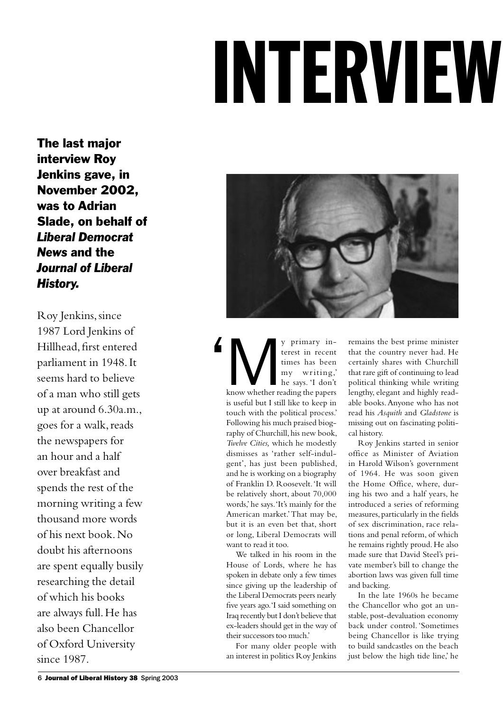## INTERVIEW

The last major interview Roy Jenkins gave, in November 2002, was to Adrian Slade, on behalf of *Liberal Democrat News* and the *Journal of Liberal History.*

Roy Jenkins, since 1987 Lord Jenkins of Hillhead, first entered parliament in 1948. It seems hard to believe of a man who still gets up at around 6.30a.m., goes for a walk, reads the newspapers for an hour and a half over breakfast and spends the rest of the morning writing a few thousand more words of his next book. No doubt his afternoons are spent equally busily researching the detail of which his books are always full. He has also been Chancellor of Oxford University since 1987.



We primary in-<br>terest in recent<br>times has been<br>my writing,<br>he says. 'I don't<br>know whether reading the papers terest in recent times has been my writing,' he says. 'I don't is useful but I still like to keep in touch with the political process.' Following his much praised biography of Churchill, his new book, *Twelve Cities,* which he modestly dismisses as 'rather self-indulgent', has just been published, and he is working on a biography of Franklin D. Roosevelt. 'It will be relatively short, about 70,000 words,' he says. 'It's mainly for the American market.' That may be, but it is an even bet that, short or long, Liberal Democrats will want to read it too.  $\overline{\phantom{a}}$ 

We talked in his room in the House of Lords, where he has spoken in debate only a few times since giving up the leadership of the Liberal Democrats peers nearly five years ago. 'I said something on Iraq recently but I don't believe that ex-leaders should get in the way of their successors too much.'

For many older people with an interest in politics Roy Jenkins remains the best prime minister that the country never had. He certainly shares with Churchill that rare gift of continuing to lead political thinking while writing lengthy, elegant and highly readable books. Anyone who has not read his *Asquith* and *Gladstone* is missing out on fascinating political history.

Roy Jenkins started in senior office as Minister of Aviation in Harold Wilson's government of 1964. He was soon given the Home Office, where, during his two and a half years, he introduced a series of reforming measures, particularly in the fields of sex discrimination, race relations and penal reform, of which he remains rightly proud. He also made sure that David Steel's private member's bill to change the abortion laws was given full time and backing.

In the late 1960s he became the Chancellor who got an unstable, post-devaluation economy back under control. 'Sometimes being Chancellor is like trying to build sandcastles on the beach just below the high tide line,' he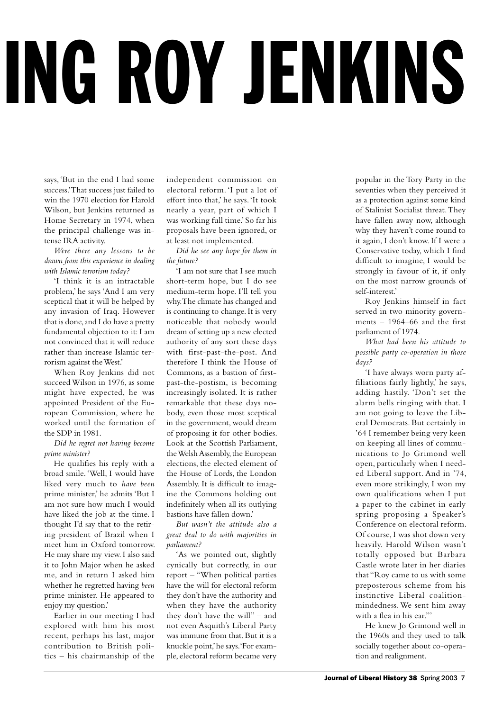## ING ROY JENKINS

says, 'But in the end I had some success.' That success just failed to win the 1970 election for Harold Wilson, but Jenkins returned as Home Secretary in 1974, when the principal challenge was intense IRA activity.

*Were there any lessons to be drawn from this experience in dealing with Islamic terrorism today?*

'I think it is an intractable problem,' he says 'And I am very sceptical that it will be helped by any invasion of Iraq. However that is done, and I do have a pretty fundamental objection to it: I am not convinced that it will reduce rather than increase Islamic terrorism against the West.'

When Roy Jenkins did not succeed Wilson in 1976, as some might have expected, he was appointed President of the European Commission, where he worked until the formation of the SDP in 1981.

*Did he regret not having become prime minister?*

He qualifies his reply with a broad smile. 'Well, I would have liked very much to *have been* prime minister,' he admits 'But I am not sure how much I would have liked the job at the time. I thought I'd say that to the retiring president of Brazil when I meet him in Oxford tomorrow. He may share my view. I also said it to John Major when he asked me, and in return I asked him whether he regretted having *been* prime minister. He appeared to enjoy my question.'

Earlier in our meeting I had explored with him his most recent, perhaps his last, major contribution to British politics – his chairmanship of the

independent commission on electoral reform. 'I put a lot of effort into that,' he says. 'It took nearly a year, part of which I was working full time.' So far his proposals have been ignored, or at least not implemented.

*Did he see any hope for them in the future?*

'I am not sure that I see much short-term hope, but I do see medium-term hope. I'll tell you why. The climate has changed and is continuing to change. It is very noticeable that nobody would dream of setting up a new elected authority of any sort these days with first-past-the-post. And therefore I think the House of Commons, as a bastion of firstpast-the-postism, is becoming increasingly isolated. It is rather remarkable that these days nobody, even those most sceptical in the government, would dream of proposing it for other bodies. Look at the Scottish Parliament, the Welsh Assembly, the European elections, the elected element of the House of Lords, the London Assembly. It is difficult to imagine the Commons holding out indefinitely when all its outlying bastions have fallen down.'

*But wasn't the attitude also a great deal to do with majorities in parliament?*

'As we pointed out, slightly cynically but correctly, in our report – "When political parties have the will for electoral reform they don't have the authority and when they have the authority they don't have the will" – and not even Asquith's Liberal Party was immune from that. But it is a knuckle point,' he says. 'For example, electoral reform became very

popular in the Tory Party in the seventies when they perceived it as a protection against some kind of Stalinist Socialist threat. They have fallen away now, although why they haven't come round to it again, I don't know. If I were a Conservative today, which I find difficult to imagine, I would be strongly in favour of it, if only on the most narrow grounds of self-interest.'

Roy Jenkins himself in fact served in two minority governments – 1964–66 and the first parliament of 1974.

*What had been his attitude to possible party co-operation in those days?*

'I have always worn party affiliations fairly lightly,' he says, adding hastily. 'Don't set the alarm bells ringing with that. I am not going to leave the Liberal Democrats. But certainly in '64 I remember being very keen on keeping all lines of communications to Jo Grimond well open, particularly when I needed Liberal support. And in '74, even more strikingly, I won my own qualifications when I put a paper to the cabinet in early spring proposing a Speaker's Conference on electoral reform. Of course, I was shot down very heavily. Harold Wilson wasn't totally opposed but Barbara Castle wrote later in her diaries that "Roy came to us with some preposterous scheme from his instinctive Liberal coalitionmindedness. We sent him away with a flea in his ear."'

He knew Jo Grimond well in the 1960s and they used to talk socially together about co-operation and realignment.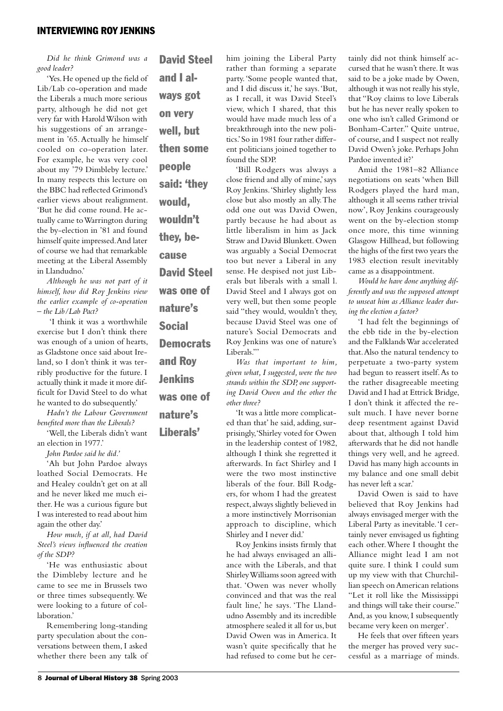*Did he think Grimond was a good leader?* 

'Yes. He opened up the field of Lib/Lab co-operation and made the Liberals a much more serious party, although he did not get very far with Harold Wilson with his suggestions of an arrangement in '65. Actually he himself cooled on co-operation later. For example, he was very cool about my '79 Dimbleby lecture.' In many respects this lecture on the BBC had reflected Grimond's earlier views about realignment. 'But he did come round. He actually came to Warrington during the by-election in '81 and found himself quite impressed. And later of course we had that remarkable meeting at the Liberal Assembly in Llandudno.'

*Although he was not part of it himself, how did Roy Jenkins view the earlier example of co-operation – the Lib/Lab Pact?*

'I think it was a worthwhile exercise but I don't think there was enough of a union of hearts, as Gladstone once said about Ireland, so I don't think it was terribly productive for the future. I actually think it made it more difficult for David Steel to do what he wanted to do subsequently.'

*Hadn't the Labour Government benefited more than the Liberals?*

'Well, the Liberals didn't want an election in 1977.'

*John Pardoe said he did.'*

'Ah but John Pardoe always loathed Social Democrats. He and Healey couldn't get on at all and he never liked me much either. He was a curious figure but I was interested to read about him again the other day.'

*How much, if at all, had David Steel's views influenced the creation of the SDP?*

'He was enthusiastic about the Dimbleby lecture and he came to see me in Brussels two or three times subsequently. We were looking to a future of collaboration.'

Remembering long-standing party speculation about the conversations between them, I asked whether there been any talk of

David Steel and I always got on very well, but then some people said: 'they would, wouldn't they, because David Steel was one of nature's Social **Democrats** 

and Roy Jenkins was one of

nature's

Liberals'

him joining the Liberal Party rather than forming a separate party. 'Some people wanted that, and I did discuss it,' he says. 'But, as I recall, it was David Steel's view, which I shared, that this would have made much less of a breakthrough into the new politics.' So in 1981 four rather different politicians joined together to found the SDP.

'Bill Rodgers was always a close friend and ally of mine,' says Roy Jenkins. 'Shirley slightly less close but also mostly an ally. The odd one out was David Owen, partly because he had about as little liberalism in him as Jack Straw and David Blunkett. Owen was arguably a Social Democrat too but never a Liberal in any sense. He despised not just Liberals but liberals with a small l. David Steel and I always got on very well, but then some people said "they would, wouldn't they, because David Steel was one of nature's Social Democrats and Roy Jenkins was one of nature's Liberals."'

*Was that important to him, given what, I suggested, were the two strands within the SDP, one supporting David Owen and the other the other three?* 

'It was a little more complicated than that' he said, adding, surprisingly, 'Shirley voted for Owen in the leadership contest of 1982, although I think she regretted it afterwards. In fact Shirley and I were the two most instinctive liberals of the four. Bill Rodgers, for whom I had the greatest respect, always slightly believed in a more instinctively Morrisonian approach to discipline, which Shirley and I never did.'

Roy Jenkins insists firmly that he had always envisaged an alliance with the Liberals, and that Shirley Williams soon agreed with that. 'Owen was never wholly convinced and that was the real fault line,' he says. 'The Llandudno Assembly and its incredible atmosphere sealed it all for us, but David Owen was in America. It wasn't quite specifically that he had refused to come but he certainly did not think himself accursed that he wasn't there. It was said to be a joke made by Owen, although it was not really his style, that "Roy claims to love Liberals but he has never really spoken to one who isn't called Grimond or Bonham-Carter." Quite untrue, of course, and I suspect not really David Owen's joke. Perhaps John Pardoe invented it?'

Amid the 1981–82 Alliance negotiations on seats 'when Bill Rodgers played the hard man, although it all seems rather trivial now', Roy Jenkins courageously went on the by-election stomp once more, this time winning Glasgow Hillhead, but following the highs of the first two years the 1983 election result inevitably came as a disappointment.

*Would he have done anything differently and was the supposed attempt to unseat him as Alliance leader during the election a factor?*

'I had felt the beginnings of the ebb tide in the by-election and the Falklands War accelerated that. Also the natural tendency to perpetuate a two-party system had begun to reassert itself. As to the rather disagreeable meeting David and I had at Ettrick Bridge, I don't think it affected the result much. I have never borne deep resentment against David about that, although I told him afterwards that he did not handle things very well, and he agreed. David has many high accounts in my balance and one small debit has never left a scar.'

David Owen is said to have believed that Roy Jenkins had always envisaged merger with the Liberal Party as inevitable. 'I certainly never envisaged us fighting each other. Where I thought the Alliance might lead I am not quite sure. I think I could sum up my view with that Churchillian speech on American relations "Let it roll like the Mississippi and things will take their course." And, as you know, I subsequently became very keen on merger'.

He feels that over fifteen years the merger has proved very successful as a marriage of minds.